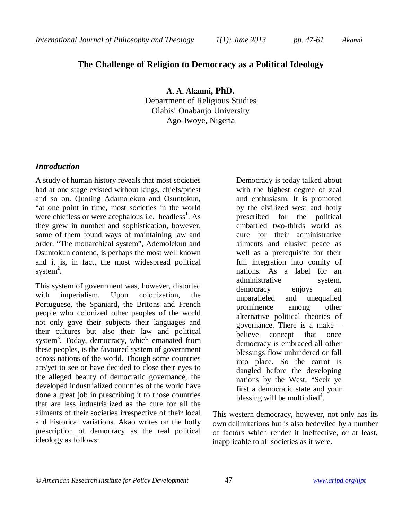## **The Challenge of Religion to Democracy as a Political Ideology**

**A. A. Akanni, PhD.** Department of Religious Studies Olabisi Onabanjo University Ago-Iwoye, Nigeria

### *Introduction*

A study of human history reveals that most societies had at one stage existed without kings, chiefs/priest and so on. Quoting Adamolekun and Osuntokun, "at one point in time, most societies in the world were chiefless or were acephalous i.e. headless<sup>1</sup>. As they grew in number and sophistication, however, some of them found ways of maintaining law and order. "The monarchical system", Ademolekun and Osuntokun contend, is perhaps the most well known and it is, in fact, the most widespread political system $^{2}$ .

This system of government was, however, distorted with imperialism. Upon colonization, the Portuguese, the Spaniard, the Britons and French people who colonized other peoples of the world not only gave their subjects their languages and their cultures but also their law and political system<sup>3</sup>. Today, democracy, which emanated from these peoples, is the favoured system of government across nations of the world. Though some countries are/yet to see or have decided to close their eyes to the alleged beauty of democratic governance, the developed industrialized countries of the world have done a great job in prescribing it to those countries that are less industrialized as the cure for all the ailments of their societies irrespective of their local and historical variations. Akao writes on the hotly prescription of democracy as the real political ideology as follows:

Democracy is today talked about with the highest degree of zeal and enthusiasm. It is promoted by the civilized west and hotly prescribed for the political embattled two-thirds world as cure for their administrative ailments and elusive peace as well as a prerequisite for their full integration into comity of nations. As a label for an administrative system, democracy enjoys an unparalleled and unequalled prominence among other alternative political theories of governance. There is a make – believe concept that once democracy is embraced all other blessings flow unhindered or fall into place. So the carrot is dangled before the developing nations by the West, "Seek ye first a democratic state and your blessing will be multiplied<sup>4</sup>.

This western democracy, however, not only has its own delimitations but is also bedeviled by a number of factors which render it ineffective, or at least, inapplicable to all societies as it were.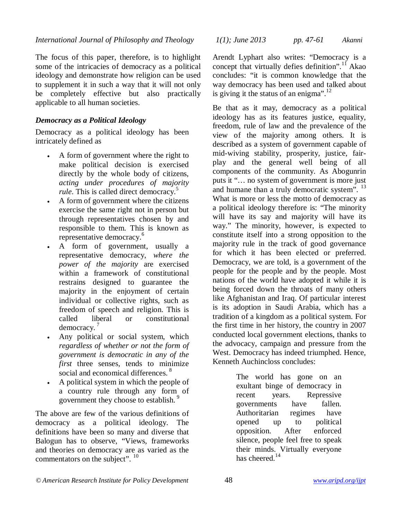The focus of this paper, therefore, is to highlight some of the intricacies of democracy as a political ideology and demonstrate how religion can be used to supplement it in such a way that it will not only be completely effective but also practically applicable to all human societies.

## *Democracy as a Political Ideology*

Democracy as a political ideology has been intricately defined as

- A form of government where the right to make political decision is exercised directly by the whole body of citizens, *acting under procedures of majority rule*. This is called direct democracy.<sup>5</sup>
- A form of government where the citizens exercise the same right not in person but through representatives chosen by and responsible to them. This is known as representative democracy.<sup>6</sup>
- A form of government, usually a representative democracy, *where the power of the majority* are exercised within a framework of constitutional restrains designed to guarantee the majority in the enjoyment of certain individual or collective rights, such as freedom of speech and religion. This is called liberal or constitutional democracy. <sup>7</sup>
- Any political or social system, which *regardless of whether or not the form of government is democratic in any of the first* three senses, tends to minimize social and economical differences.<sup>8</sup>
- A political system in which the people of a country rule through any form of government they choose to establish.<sup>9</sup>

The above are few of the various definitions of democracy as a political ideology. The definitions have been so many and diverse that Balogun has to observe, "Views, frameworks and theories on democracy are as varied as the commentators on the subject". <sup>10</sup>

Arendt Lyphart also writes: "Democracy is a concept that virtually defies definition".<sup>11</sup> Akao concludes: "it is common knowledge that the way democracy has been used and talked about is giving it the status of an enigma".<sup>12</sup>

Be that as it may, democracy as a political ideology has as its features justice, equality, freedom, rule of law and the prevalence of the view of the majority among others. It is described as a system of government capable of mid-wiving stability, prosperity, justice, fairplay and the general well being of all components of the community. As Abogunrin puts it "… no system of government is more just and humane than a truly democratic system". <sup>13</sup> What is more or less the motto of democracy as a political ideology therefore is: "The minority will have its say and majority will have its way." The minority, however, is expected to constitute itself into a strong opposition to the majority rule in the track of good governance for which it has been elected or preferred. Democracy, we are told, is a government of the people for the people and by the people. Most nations of the world have adopted it while it is being forced down the throats of many others like Afghanistan and Iraq. Of particular interest is its adoption in Saudi Arabia, which has a tradition of a kingdom as a political system. For the first time in her history, the country in 2007 conducted local government elections, thanks to the advocacy, campaign and pressure from the West. Democracy has indeed triumphed. Hence, Kenneth Auchincloss concludes:

> The world has gone on an exultant binge of democracy in recent years. Repressive governments have fallen. Authoritarian regimes have opened up to political opposition. After enforced silence, people feel free to speak their minds. Virtually everyone has cheered.<sup>14</sup>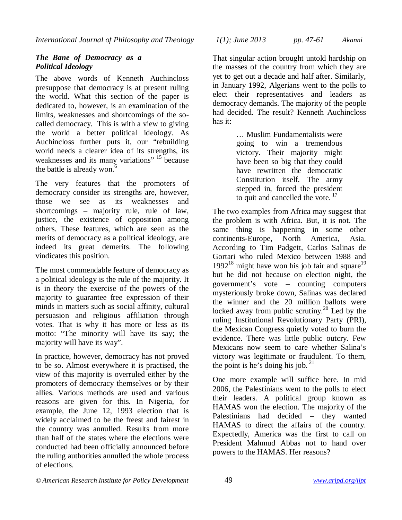### *The Bane of Democracy as a Political Ideology*

The above words of Kenneth Auchincloss presuppose that democracy is at present ruling the world. What this section of the paper is dedicated to, however, is an examination of the limits, weaknesses and shortcomings of the socalled democracy. This is with a view to giving the world a better political ideology. As Auchincloss further puts it, our "rebuilding world needs a clearer idea of its strengths, its weaknesses and its many variations" <sup>15</sup> because the battle is already won. $<sup>6</sup>$ </sup>

The very features that the promoters of democracy consider its strengths are, however, those we see as its weaknesses and shortcomings – majority rule, rule of law, justice, the existence of opposition among others. These features, which are seen as the merits of democracy as a political ideology, are indeed its great demerits. The following vindicates this position.

The most commendable feature of democracy as a political ideology is the rule of the majority. It is in theory the exercise of the powers of the majority to guarantee free expression of their minds in matters such as social affinity, cultural persuasion and religious affiliation through votes. That is why it has more or less as its motto: "The minority will have its say; the majority will have its way".

In practice, however, democracy has not proved to be so. Almost everywhere it is practised, the view of this majority is overruled either by the promoters of democracy themselves or by their allies. Various methods are used and various reasons are given for this. In Nigeria, for example, the June 12, 1993 election that is widely acclaimed to be the freest and fairest in the country was annulled. Results from more than half of the states where the elections were conducted had been officially announced before the ruling authorities annulled the whole process of elections.

That singular action brought untold hardship on the masses of the country from which they are yet to get out a decade and half after. Similarly, in January 1992, Algerians went to the polls to elect their representatives and leaders as democracy demands. The majority of the people had decided. The result? Kenneth Auchincloss has it:

> … Muslim Fundamentalists were going to win a tremendous victory. Their majority might have been so big that they could have rewritten the democratic Constitution itself. The army stepped in, forced the president to quit and cancelled the vote.<sup>17</sup>

The two examples from Africa may suggest that the problem is with Africa. But, it is not. The same thing is happening in some other continents-Europe, North America, Asia. According to Tim Padgett, Carlos Salinas de Gortari who ruled Mexico between 1988 and  $1992<sup>18</sup>$  might have won his job fair and square<sup>19</sup> but he did not because on election night, the government's vote – counting computers mysteriously broke down, Salinas was declared the winner and the 20 million ballots were locked away from public scrutiny.<sup>20</sup> Led by the ruling Institutional Revolutionary Party (PRI), the Mexican Congress quietly voted to burn the evidence. There was little public outcry. Few Mexicans now seem to care whether Salina's victory was legitimate or fraudulent. To them, the point is he's doing his job.  $2<sup>1</sup>$ 

One more example will suffice here. In mid 2006, the Palestinians went to the polls to elect their leaders. A political group known as HAMAS won the election. The majority of the Palestinians had decided – they wanted HAMAS to direct the affairs of the country. Expectedly, America was the first to call on President Mahmud Abbas not to hand over powers to the HAMAS. Her reasons?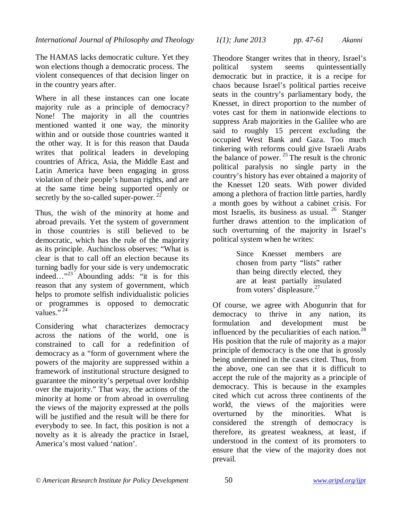The HAMAS lacks democratic culture. Yet they won elections though a democratic process. The violent consequences of that decision linger on in the country years after.

Where in all these instances can one locate majority rule as a principle of democracy? None! The majority in all the countries mentioned wanted it one way, the minority within and or outside those countries wanted it the other way. It is for this reason that Dauda writes that political leaders in developing countries of Africa, Asia, the Middle East and Latin America have been engaging in gross violation of their people's human rights, and are at the same time being supported openly or secretly by the so-called super-power.  $22$ 

Thus, the wish of the minority at home and abroad prevails. Yet the system of government in those countries is still believed to be democratic, which has the rule of the majority as its principle. Auchincloss observes: "What is clear is that to call off an election because its turning badly for your side is very undemocratic  $indeed...$ <sup>23</sup> Abounding adds: "it is for this reason that any system of government, which helps to promote selfish individualistic policies or programmes is opposed to democratic values."<sup>24</sup>

Considering what characterizes democracy across the nations of the world, one is constrained to call for a redefinition of democracy as a "form of government where the powers of the majority are suppressed within a framework of institutional structure designed to guarantee the minority's perpetual over lordship over the majority." That way, the actions of the minority at home or from abroad in overruling the views of the majority expressed at the polls will be justified and the result will be there for everybody to see. In fact, this position is not a novelty as it is already the practice in Israel, America's most valued 'nation'.

Theodore Stanger writes that in theory, Israel's political system seems quintessentially democratic but in practice, it is a recipe for chaos because Israel's political parties receive seats in the country's parliamentary body, the Knesset, in direct proportion to the number of votes cast for them in nationwide elections to suppress Arab majorities in the Galilee who are said to roughly 15 percent excluding the occupied West Bank and Gaza. Too much tinkering with reforms could give Israeli Arabs the balance of power.  $25$  The result is the chronic political paralysis no single party in the country's history has ever obtained a majority of the Knesset 120 seats. With power divided among a plethora of fraction little parties, hardly a month goes by without a cabinet crisis. For most Israelis, its business as usual.  $26$  Stanger further draws attention to the implication of such overturning of the majority in Israel's political system when he writes:

> Since Knesset members are chosen from party "lists" rather than being directly elected, they are at least partially insulated from voters' displeasure.<sup>27</sup>

Of course, we agree with Abogunrin that for democracy to thrive in any nation, its formulation and development must be influenced by the peculiarities of each nation. $^{28}$ His position that the rule of majority as a major principle of democracy is the one that is grossly being undermined in the cases cited. Thus, from the above, one can see that it is difficult to accept the rule of the majority as a principle of democracy. This is because in the examples cited which cut across three continents of the world, the views of the majorities were overturned by the minorities. What is considered the strength of democracy is therefore, its greatest weakness, at least, if understood in the context of its promoters to ensure that the view of the majority does not prevail.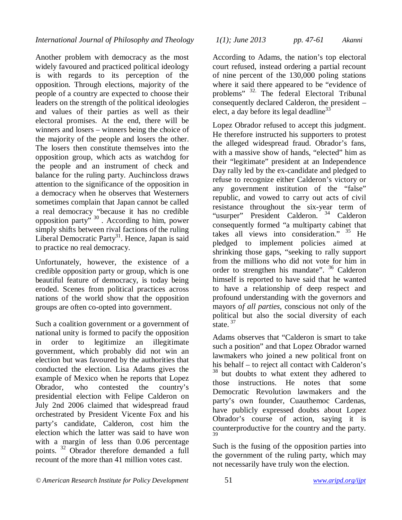Another problem with democracy as the most widely favoured and practiced political ideology is with regards to its perception of the opposition. Through elections, majority of the people of a country are expected to choose their leaders on the strength of the political ideologies and values of their parties as well as their electoral promises. At the end, there will be winners and losers – winners being the choice of the majority of the people and losers the other. The losers then constitute themselves into the opposition group, which acts as watchdog for the people and an instrument of check and balance for the ruling party. Auchincloss draws attention to the significance of the opposition in a democracy when he observes that Westerners sometimes complain that Japan cannot be called a real democracy "because it has no credible opposition party" <sup>30</sup>. According to him, power simply shifts between rival factions of the ruling Liberal Democratic Party<sup>31</sup>. Hence, Japan is said to practice no real democracy.

Unfortunately, however, the existence of a credible opposition party or group, which is one beautiful feature of democracy, is today being eroded. Scenes from political practices across nations of the world show that the opposition groups are often co-opted into government.

Such a coalition government or a government of national unity is formed to pacify the opposition in order to legitimize an illegitimate government, which probably did not win an election but was favoured by the authorities that conducted the election. Lisa Adams gives the example of Mexico when he reports that Lopez Obrador, who contested the country's presidential election with Felipe Calderon on July 2nd 2006 claimed that widespread fraud orchestrated by President Vicente Fox and his party's candidate, Calderon, cost him the election which the latter was said to have won with a margin of less than 0.06 percentage points. <sup>32</sup> Obrador therefore demanded a full recount of the more than 41 million votes cast.

According to Adams, the nation's top electoral court refused, instead ordering a partial recount of nine percent of the 130,000 poling stations where it said there appeared to be "evidence of problems" 32. The federal Electoral Tribunal consequently declared Calderon, the president – elect, a day before its legal deadline<sup>33</sup>

Lopez Obrador refused to accept this judgment. He therefore instructed his supporters to protest the alleged widespread fraud. Obrador's fans, with a massive show of hands, "elected" him as their "legitimate" president at an Independence Day rally led by the ex-candidate and pledged to refuse to recognize either Calderon's victory or any government institution of the "false" republic, and vowed to carry out acts of civil resistance throughout the six-year term of "usurper" President Calderon.<sup>34</sup> Calderon consequently formed "a multiparty cabinet that takes all views into consideration."  $35$  He pledged to implement policies aimed at shrinking those gaps, "seeking to rally support from the millions who did not vote for him in order to strengthen his mandate". <sup>36</sup> Calderon himself is reported to have said that he wanted to have a relationship of deep respect and profound understanding with the governors and mayors o*f all parties,* conscious not only of the political but also the social diversity of each state.  $37$ 

Adams observes that "Calderon is smart to take such a position" and that Lopez Obrador warned lawmakers who joined a new political front on his behalf – to reject all contact with Calderon's <sup>38</sup> but doubts to what extent they adhered to those instructions. He notes that some Democratic Revolution lawmakers and the party's own founder, Cuauthemoc Cardenas, have publicly expressed doubts about Lopez Obrador's course of action, saying it is counterproductive for the country and the party. 39

Such is the fusing of the opposition parties into the government of the ruling party, which may not necessarily have truly won the election.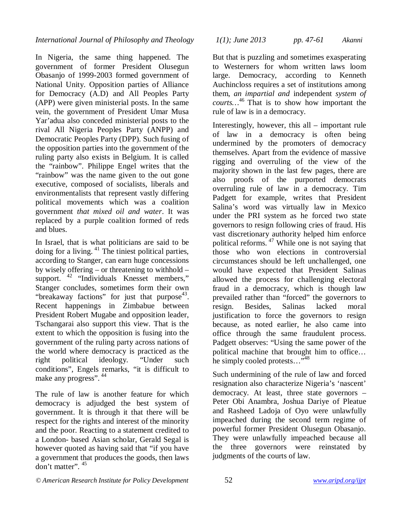In Nigeria, the same thing happened. The government of former President Olusegun Obasanjo of 1999-2003 formed government of National Unity. Opposition parties of Alliance for Democracy (A.D) and All Peoples Party (APP) were given ministerial posts. In the same vein, the government of President Umar Musa Yar'adua also conceded ministerial posts to the rival All Nigeria Peoples Party (ANPP) and Democratic Peoples Party (DPP). Such fusing of the opposition parties into the government of the ruling party also exists in Belgium. It is called the "rainbow". Philippe Engel writes that the "rainbow" was the name given to the out gone executive, composed of socialists, liberals and environmentalists that represent vastly differing political movements which was a coalition government *that mixed oil and water*. It was replaced by a purple coalition formed of reds and blues.

In Israel, that is what politicians are said to be doing for a living. <sup>41</sup> The tiniest political parties, according to Stanger, can earn huge concessions by wisely offering – or threatening to withhold – support.  $42$  "Individuals Knesset members," Stanger concludes, sometimes form their own "breakaway factions" for just that purpose<sup>43</sup>. Recent happenings in Zimbabue between President Robert Mugabe and opposition leader, Tschangarai also support this view. That is the extent to which the opposition is fusing into the government of the ruling party across nations of the world where democracy is practiced as the right political ideology. "Under such conditions", Engels remarks, "it is difficult to make any progress". <sup>44</sup>

The rule of law is another feature for which democracy is adjudged the best system of government. It is through it that there will be respect for the rights and interest of the minority and the poor. Reacting to a statement credited to a London- based Asian scholar, Gerald Segal is however quoted as having said that "if you have a government that produces the goods, then laws don't matter". 45

But that is puzzling and sometimes exasperating to Westerners for whom written laws loom large. Democracy, according to Kenneth Auchincloss requires a set of institutions among them, *an impartial and* independent *system of courts…*<sup>46</sup> That is to show how important the rule of law is in a democracy.

Interestingly, however, this all – important rule of law in a democracy is often being undermined by the promoters of democracy themselves. Apart from the evidence of massive rigging and overruling of the view of the majority shown in the last few pages, there are also proofs of the purported democrats overruling rule of law in a democracy. Tim Padgett for example, writes that President Salina's word was virtually law in Mexico under the PRI system as he forced two state governors to resign following cries of fraud. His vast discretionary authority helped him enforce political reforms. <sup>47</sup> While one is not saying that those who won elections in controversial circumstances should be left unchallenged, one would have expected that President Salinas allowed the process for challenging electoral fraud in a democracy, which is though law prevailed rather than "forced" the governors to resign. Besides, Salinas lacked moral justification to force the governors to resign because, as noted earlier, he also came into office through the same fraudulent process. Padgett observes: "Using the same power of the political machine that brought him to office… he simply cooled protests..."<sup>48</sup>

Such undermining of the rule of law and forced resignation also characterize Nigeria's 'nascent' democracy. At least, three state governors – Peter Obi Anambra, Joshua Dariye of Pleatue and Rasheed Ladoja of Oyo were unlawfully impeached during the second term regime of powerful former President Olusegun Obasanjo. They were unlawfully impeached because all the three governors were reinstated by judgments of the courts of law.

*© American Research Institute for Policy Development* 52 *www.aripd.org/ijpt*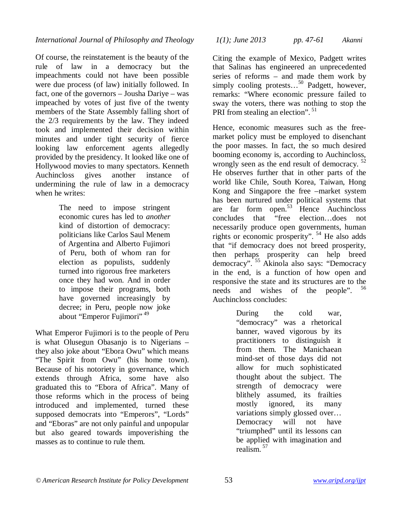Of course, the reinstatement is the beauty of the rule of law in a democracy but the impeachments could not have been possible were due process (of law) initially followed. In fact, one of the governors – Jousha Dariye – was impeached by votes of just five of the twenty members of the State Assembly falling short of the 2/3 requirements by the law. They indeed took and implemented their decision within minutes and under tight security of fierce looking law enforcement agents allegedly provided by the presidency. It looked like one of Hollywood movies to many spectators. Kenneth Auchincloss gives another instance of undermining the rule of law in a democracy when he writes:

> The need to impose stringent economic cures has led to *another* kind of distortion of democracy: politicians like Carlos Saul Menem of Argentina and Alberto Fujimori of Peru, both of whom ran for election as populists, suddenly turned into rigorous free marketers once they had won. And in order to impose their programs, both have governed increasingly by decree; in Peru, people now joke about "Emperor Fujimori" <sup>49</sup>

What Emperor Fujimori is to the people of Peru is what Olusegun Obasanjo is to Nigerians – they also joke about "Ebora Owu" which means "The Spirit from Owu" (his home town). Because of his notoriety in governance, which extends through Africa, some have also graduated this to "Ebora of Africa". Many of those reforms which in the process of being introduced and implemented, turned these supposed democrats into "Emperors", "Lords" and "Eboras" are not only painful and unpopular but also geared towards impoverishing the masses as to continue to rule them.

Citing the example of Mexico, Padgett writes that Salinas has engineered an unprecedented series of reforms – and made them work by simply cooling protests...<sup>50</sup> Padgett, however, remarks: "Where economic pressure failed to sway the voters, there was nothing to stop the PRI from stealing an election".<sup>51</sup>

Hence, economic measures such as the freemarket policy must be employed to disenchant the poor masses. In fact, the so much desired booming economy is, according to Auchincloss, wrongly seen as the end result of democracy.  $52$ He observes further that in other parts of the world like Chile, South Korea, Taiwan, Hong Kong and Singapore the free –market system has been nurtured under political systems that are far form open.<sup>53</sup> Hence Auchincloss concludes that "free election…does not necessarily produce open governments, human rights or economic prosperity". <sup>54</sup> He also adds that "if democracy does not breed prosperity, then perhaps prosperity can help breed democracy".<sup>55</sup> Akinola also says: "Democracy in the end, is a function of how open and responsive the state and its structures are to the needs and wishes of the people". Auchincloss concludes:

> During the cold war, "democracy" was a rhetorical banner, waved vigorous by its practitioners to distinguish it from them. The Manichaean mind-set of those days did not allow for much sophisticated thought about the subject. The strength of democracy were blithely assumed, its frailties mostly ignored, its many variations simply glossed over… Democracy will not have "triumphed" until its lessons can be applied with imagination and realism. <sup>57</sup>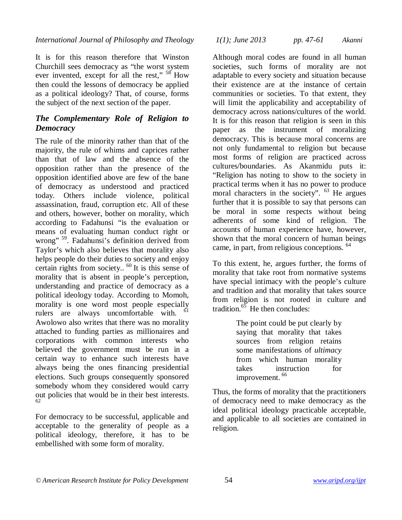It is for this reason therefore that Winston Churchill sees democracy as "the worst system ever invented, except for all the rest,"  $58$  How then could the lessons of democracy be applied as a political ideology? That, of course, forms the subject of the next section of the paper.

# *The Complementary Role of Religion to Democracy*

The rule of the minority rather than that of the majority, the rule of whims and caprices rather than that of law and the absence of the opposition rather than the presence of the opposition identified above are few of the bane of democracy as understood and practiced today. Others include violence, political assassination, fraud, corruption etc. All of these and others, however, bother on morality, which according to Fadahunsi "is the evaluation or means of evaluating human conduct right or wrong"<sup>59</sup>. Fadahunsi's definition derived from Taylor's which also believes that morality also helps people do their duties to society and enjoy certain rights from society..  $60$  It is this sense of morality that is absent in people's perception, understanding and practice of democracy as a political ideology today. According to Momoh, morality is one word most people especially rulers are always uncomfortable with. 61 Awolowo also writes that there was no morality attached to funding parties as millionaires and corporations with common interests who believed the government must be run in a certain way to enhance such interests have always being the ones financing presidential elections. Such groups consequently sponsored somebody whom they considered would carry out policies that would be in their best interests. 62

For democracy to be successful, applicable and acceptable to the generality of people as a political ideology, therefore, it has to be embellished with some form of morality.

Although moral codes are found in all human societies, such forms of morality are not adaptable to every society and situation because their existence are at the instance of certain communities or societies. To that extent, they will limit the applicability and acceptability of democracy across nations/cultures of the world. It is for this reason that religion is seen in this paper as the instrument of moralizing democracy. This is because moral concerns are not only fundamental to religion but because most forms of religion are practiced across cultures/boundaries. As Akanmidu puts it: "Religion has noting to show to the society in practical terms when it has no power to produce moral characters in the society".  $63$  He argues further that it is possible to say that persons can be moral in some respects without being adherents of some kind of religion. The accounts of human experience have, however, shown that the moral concern of human beings came, in part, from religious conceptions. <sup>64</sup>

To this extent, he, argues further, the forms of morality that take root from normative systems have special intimacy with the people's culture and tradition and that morality that takes source from religion is not rooted in culture and tradition.<sup>65</sup> He then concludes:

> The point could be put clearly by saying that morality that takes sources from religion retains some manifestations of *ultimacy* from which human morality takes instruction for improvement.<sup>66</sup>

Thus, the forms of morality that the practitioners of democracy need to make democracy as the ideal political ideology practicable acceptable, and applicable to all societies are contained in religion.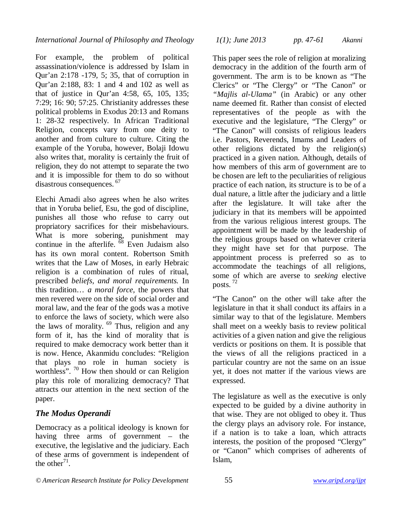For example, the problem of political assassination/violence is addressed by Islam in Qur'an 2:178 -179, 5; 35, that of corruption in Qur'an 2:188, 83: 1 and 4 and 102 as well as that of justice in Qur'an 4:58, 65, 105, 135; 7:29; 16: 90; 57:25. Christianity addresses these political problems in Exodus 20:13 and Romans 1: 28-32 respectively. In African Traditional Religion, concepts vary from one deity to another and from culture to culture. Citing the example of the Yoruba, however, Bolaji Idowu also writes that, morality is certainly the fruit of religion, they do not attempt to separate the two and it is impossible for them to do so without disastrous consequences. <sup>67</sup>

Elechi Amadi also agrees when he also writes that in Yoruba belief, Esu, the god of discipline, punishes all those who refuse to carry out propriatory sacrifices for their misbehaviours. What is more sobering, punishment may continue in the afterlife. <sup>68</sup> Even Judaism also has its own moral content. Robertson Smith writes that the Law of Moses, in early Hebraic religion is a combination of rules of ritual, prescribed *beliefs, and moral requirements.* In this tradition… *a moral force,* the powers that men revered were on the side of social order and moral law, and the fear of the gods was a motive to enforce the laws of society, which were also the laws of morality.  $^{69}$  Thus, religion and any form of it, has the kind of morality that is required to make democracy work better than it is now. Hence, Akanmidu concludes: "Religion that plays no role in human society is worthless". <sup>70</sup> How then should or can Religion play this role of moralizing democracy? That attracts our attention in the next section of the paper.

# *The Modus Operandi*

Democracy as a political ideology is known for having three arms of government – the executive, the legislative and the judiciary. Each of these arms of government is independent of the other<sup>71</sup>.

This paper sees the role of religion at moralizing democracy in the addition of the fourth arm of government. The arm is to be known as "The Clerics" or "The Clergy" or "The Canon" or *"Majlis al-Ulama"* (in Arabic) or any other name deemed fit. Rather than consist of elected representatives of the people as with the executive and the legislature, "The Clergy" or "The Canon" will consists of religious leaders i.e. Pastors, Reverends, Imams and Leaders of other religions dictated by the religion(s) practiced in a given nation. Although, details of how members of this arm of government are to be chosen are left to the peculiarities of religious practice of each nation, its structure is to be of a dual nature, a little after the judiciary and a little after the legislature. It will take after the judiciary in that its members will be appointed from the various religious interest groups. The appointment will be made by the leadership of the religious groups based on whatever criteria they might have set for that purpose. The appointment process is preferred so as to accommodate the teachings of all religions, some of which are averse to *seeking* elective posts. <sup>72</sup>

"The Canon" on the other will take after the legislature in that it shall conduct its affairs in a similar way to that of the legislature. Members shall meet on a weekly basis to review political activities of a given nation and give the religious verdicts or positions on them. It is possible that the views of all the religions practiced in a particular country are not the same on an issue yet, it does not matter if the various views are expressed.

The legislature as well as the executive is only expected to be guided by a divine authority in that wise. They are not obliged to obey it. Thus the clergy plays an advisory role. For instance, if a nation is to take a loan, which attracts interests, the position of the proposed "Clergy" or "Canon" which comprises of adherents of Islam,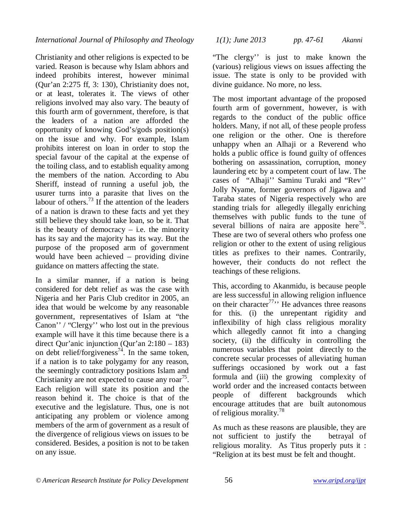Christianity and other religions is expected to be varied. Reason is because why Islam abhors and indeed prohibits interest, however minimal (Qur'an 2:275 ff, 3: 130), Christianity does not, or at least, tolerates it. The views of other religions involved may also vary. The beauty of this fourth arm of government, therefore, is that the leaders of a nation are afforded the opportunity of knowing God's/gods position(s) on the issue and why. For example, Islam prohibits interest on loan in order to stop the special favour of the capital at the expense of the toiling class, and to establish equality among the members of the nation. According to Abu Sheriff, instead of running a useful job, the usurer turns into a parasite that lives on the labour of others.<sup>73</sup> If the attention of the leaders of a nation is drawn to these facts and yet they still believe they should take loan, so be it. That is the beauty of democracy  $-$  i.e. the minority has its say and the majority has its way. But the purpose of the proposed arm of government would have been achieved – providing divine guidance on matters affecting the state.

In a similar manner, if a nation is being considered for debt relief as was the case with Nigeria and her Paris Club creditor in 2005, an idea that would be welcome by any reasonable government, representatives of Islam at "the Canon'' / "Clergy'' who lost out in the previous example will have it this time because there is a direct Qur'anic injunction (Qur'an 2:180 – 183) on debt relief/forgiveness<sup>74</sup>. In the same token, if a nation is to take polygamy for any reason, the seemingly contradictory positions Islam and Christianity are not expected to cause any roar $^{75}$ . Each religion will state its position and the reason behind it. The choice is that of the executive and the legislature. Thus, one is not anticipating any problem or violence among members of the arm of government as a result of the divergence of religious views on issues to be considered. Besides, a position is not to be taken on any issue.

"The clergy'' is just to make known the (various) religious views on issues affecting the issue. The state is only to be provided with divine guidance. No more, no less.

The most important advantage of the proposed fourth arm of government, however, is with regards to the conduct of the public office holders. Many, if not all, of these people profess one religion or the other. One is therefore unhappy when an Alhaji or a Reverend who holds a public office is found guilty of offences bothering on assassination, corruption, money laundering etc by a competent court of law. The cases of "Alhaji'' Saminu Turaki and "Rev'' Jolly Nyame, former governors of Jigawa and Taraba states of Nigeria respectively who are standing trials for allegedly illegally enriching themselves with public funds to the tune of several billions of naira are apposite here<sup>76</sup>. These are two of several others who profess one religion or other to the extent of using religious titles as prefixes to their names. Contrarily, however, their conducts do not reflect the teachings of these religions.

This, according to Akanmidu, is because people are less successful in allowing religion influence on their character<sup>77,</sup> He advances three reasons for this. (i) the unrepentant rigidity and inflexibility of high class religious morality which allegedly cannot fit into a changing society, (ii) the difficulty in controlling the numerous variables that point directly to the concrete secular processes of alleviating human sufferings occasioned by work out a fast formula and (iii) the growing complexity of world order and the increased contacts between people of different backgrounds which encourage attitudes that are built autonomous of religious morality.<sup>78</sup>

As much as these reasons are plausible, they are not sufficient to justify the betrayal of religious morality. As Titus properly puts it : "Religion at its best must be felt and thought.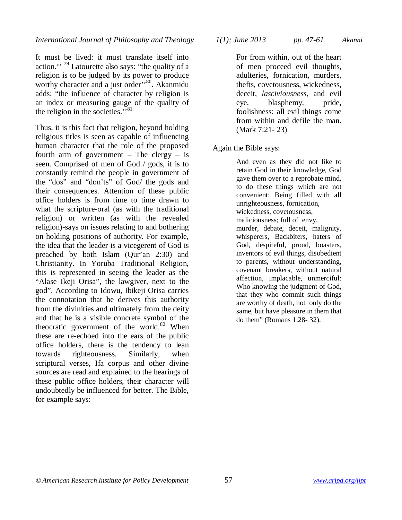It must be lived: it must translate itself into action.'' <sup>79</sup> Latourette also says: "the quality of a religion is to be judged by its power to produce worthy character and a just order<sup>"80</sup>. Akanmidu adds: "the influence of character by religion is an index or measuring gauge of the quality of the religion in the societies."<sup>81</sup>

Thus, it is this fact that religion, beyond holding religious titles is seen as capable of influencing human character that the role of the proposed fourth arm of government – The clergy – is seen. Comprised of men of God / gods, it is to constantly remind the people in government of the "dos" and "don'ts" of God/ the gods and their consequences. Attention of these public office holders is from time to time drawn to what the scripture-oral (as with the traditional religion) or written (as with the revealed religion)-says on issues relating to and bothering on holding positions of authority. For example, the idea that the leader is a vicegerent of God is preached by both Islam (Qur'an 2:30) and Christianity. In Yoruba Traditional Religion, this is represented in seeing the leader as the "Alase Ikeji Orisa", the lawgiver, next to the god". According to Idowu, Ibikeji Orisa carries the connotation that he derives this authority from the divinities and ultimately from the deity and that he is a visible concrete symbol of the theocratic government of the world.<sup>82</sup> When these are re-echoed into the ears of the public office holders, there is the tendency to lean towards righteousness. Similarly, when scriptural verses, Ifa corpus and other divine sources are read and explained to the hearings of these public office holders, their character will undoubtedly be influenced for better. The Bible, for example says:

For from within, out of the heart of men proceed evil thoughts, adulteries, fornication, murders, thefts, covetousness, wickedness, deceit, *lasciviousness*, and evil eye, blasphemy, pride, foolishness: all evil things come from within and defile the man. (Mark 7:21- 23)

## Again the Bible says:

And even as they did not like to retain God in their knowledge, God gave them over to a reprobate mind, to do these things which are not convenient: Being filled with all unrighteousness, fornication, wickedness, covetousness, maliciousness; full of envy, murder, debate, deceit, malignity, whisperers, Backbiters, haters of God, despiteful, proud, boasters, inventors of evil things, disobedient to parents, without understanding, covenant breakers, without natural affection, implacable, unmerciful: Who knowing the judgment of God, that they who commit such things are worthy of death, not only do the same, but have pleasure in them that do them" (Romans 1:28- 32).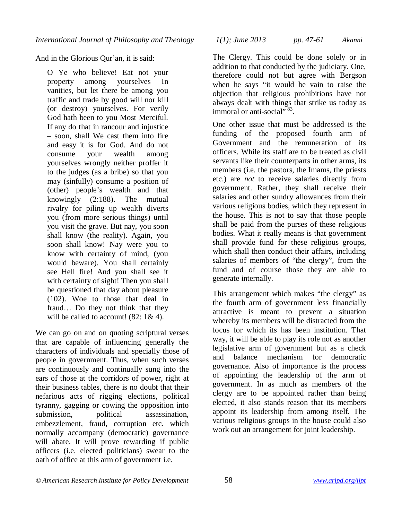And in the Glorious Qur'an, it is said:

O Ye who believe! Eat not your property among yourselves In vanities, but let there be among you traffic and trade by good will nor kill (or destroy) yourselves. For verily God hath been to you Most Merciful. If any do that in rancour and injustice – soon, shall We cast them into fire and easy it is for God. And do not consume your wealth among yourselves wrongly neither proffer it to the judges (as a bribe) so that you may (sinfully) consume a position of (other) people's wealth and that knowingly (2:188). The mutual rivalry for piling up wealth diverts you (from more serious things) until you visit the grave. But nay, you soon shall know (the reality). Again, you soon shall know! Nay were you to know with certainty of mind, (you would beware). You shall certainly see Hell fire! And you shall see it with certainty of sight! Then you shall be questioned that day about pleasure (102). Woe to those that deal in fraud… Do they not think that they will be called to account!  $(82: 1 & 4)$ .

We can go on and on quoting scriptural verses that are capable of influencing generally the characters of individuals and specially those of people in government. Thus, when such verses are continuously and continually sung into the ears of those at the corridors of power, right at their business tables, there is no doubt that their nefarious acts of rigging elections, political tyranny, gagging or cowing the opposition into submission, political assassination, embezzlement, fraud, corruption etc. which normally accompany (democratic) governance will abate. It will prove rewarding if public officers (i.e. elected politicians) swear to the oath of office at this arm of government i.e.

*© American Research Institute for Policy Development* 58 *www.aripd.org/ijpt*

The Clergy. This could be done solely or in addition to that conducted by the judiciary. One, therefore could not but agree with Bergson when he says "it would be vain to raise the objection that religious prohibitions have not always dealt with things that strike us today as immoral or anti-social"<sup>83</sup>.

One other issue that must be addressed is the funding of the proposed fourth arm of Government and the remuneration of its officers. While its staff are to be treated as civil servants like their counterparts in other arms, its members (i.e. the pastors, the Imams, the priests etc.) are *not* to receive salaries directly from government. Rather, they shall receive their salaries and other sundry allowances from their various religious bodies, which they represent in the house. This is not to say that those people shall be paid from the purses of these religious bodies. What it really means is that government shall provide fund for these religious groups, which shall then conduct their affairs, including salaries of members of "the clergy", from the fund and of course those they are able to generate internally.

This arrangement which makes "the clergy" as the fourth arm of government less financially attractive is meant to prevent a situation whereby its members will be distracted from the focus for which its has been institution. That way, it will be able to play its role not as another legislative arm of government but as a check and balance mechanism for democratic governance. Also of importance is the process of appointing the leadership of the arm of government. In as much as members of the clergy are to be appointed rather than being elected, it also stands reason that its members appoint its leadership from among itself. The various religious groups in the house could also work out an arrangement for joint leadership.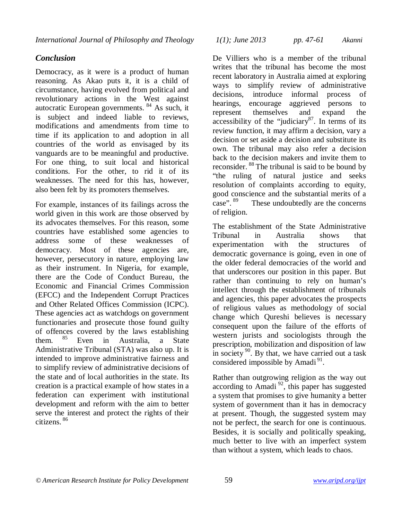# *Conclusion*

Democracy, as it were is a product of human reasoning. As Akao puts it, it is a child of circumstance, having evolved from political and revolutionary actions in the West against autocratic European governments. <sup>84</sup> As such, it is subject and indeed liable to reviews, modifications and amendments from time to time if its application to and adoption in all countries of the world as envisaged by its vanguards are to be meaningful and productive. For one thing, to suit local and historical conditions. For the other, to rid it of its weaknesses. The need for this has, however, also been felt by its promoters themselves.

For example, instances of its failings across the world given in this work are those observed by its advocates themselves. For this reason, some countries have established some agencies to address some of these weaknesses of address some of these democracy. Most of these agencies are, however, persecutory in nature, employing law as their instrument. In Nigeria, for example, there are the Code of Conduct Bureau, the Economic and Financial Crimes Commission (EFCC) and the Independent Corrupt Practices and Other Related Offices Commission (ICPC). These agencies act as watchdogs on government functionaries and prosecute those found guilty of offences covered by the laws establishing<br>them.  $85$  Even in Australia. a State Even in Australia, a State Administrative Tribunal (STA) was also up. It is intended to improve administrative fairness and to simplify review of administrative decisions of the state and of local authorities in the state. Its creation is a practical example of how states in a federation can experiment with institutional development and reform with the aim to better serve the interest and protect the rights of their citizens. <sup>86</sup>

De Villiers who is a member of the tribunal writes that the tribunal has become the most recent laboratory in Australia aimed at exploring ways to simplify review of administrative decisions, introduce informal process of hearings, encourage aggrieved persons to represent themselves and expand the accessibility of the "judiciary $^{87}$ . In terms of its review function, it may affirm a decision, vary a decision or set aside a decision and substitute its own. The tribunal may also refer a decision back to the decision makers and invite them to reconsider. <sup>88</sup> The tribunal is said to be bound by "the ruling of natural justice and seeks resolution of complaints according to equity, good conscience and the substantial merits of a<br>case".<sup>89</sup> These undoubtedly are the concerns These undoubtedly are the concerns of religion.

The establishment of the State Administrative Tribunal in Australia shows that experimentation with the structures of democratic governance is going, even in one of the older federal democracies of the world and that underscores our position in this paper. But rather than continuing to rely on human's intellect through the establishment of tribunals and agencies, this paper advocates the prospects of religious values as methodology of social change which Qureshi believes is necessary consequent upon the failure of the efforts of western jurists and sociologists through the prescription, mobilization and disposition of law in society  $90$ . By that, we have carried out a task considered impossible by Amadi<sup>91</sup>.

Rather than outgrowing religion as the way out according to Amadi<sup>92</sup>, this paper has suggested a system that promises to give humanity a better system of government than it has in democracy at present. Though, the suggested system may not be perfect, the search for one is continuous. Besides, it is socially and politically speaking, much better to live with an imperfect system than without a system, which leads to chaos.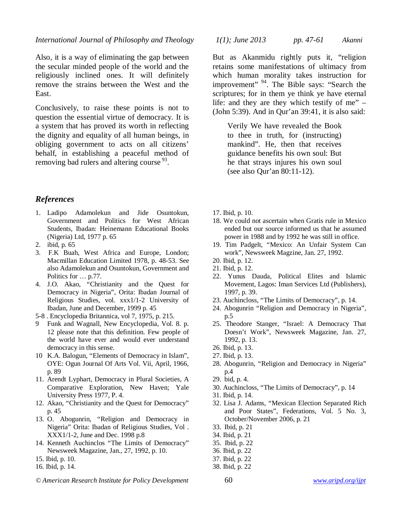Also, it is a way of eliminating the gap between the secular minded people of the world and the religiously inclined ones. It will definitely remove the strains between the West and the East.

Conclusively, to raise these points is not to question the essential virtue of democracy. It is a system that has proved its worth in reflecting the dignity and equality of all human beings, in obliging government to acts on all citizens' behalf, in establishing a peaceful method of removing bad rulers and altering course <sup>93</sup>.

#### *References*

- 1. Ladipo Adamolekun and Jide Osuntokun, Government and Politics for West African Students, Ibadan: Heinemann Educational Books (Nigeria) Ltd, 1977 p. 65
- 2. ibid, p. 65
- 3. F.K Buah, West Africa and Europe, London; Macmillan Education Limited 1978, p. 48-53. See also Adamolekun and Osuntokun, Government and Politics for … p.77.
- 4. J.O. Akao, "Christianity and the Quest for Democracy in Nigeria", Orita: Ibadan Journal of Religious Studies, vol. xxx1/1-2 University of Ibadan, June and December, 1999 p. 45
- 5-8 . Encyclopedia Britannica, vol 7, 1975, p. 215.
- 9 Funk and Wagnall, New Encyclopedia, Vol. 8. p. 12 please note that this definition. Few people of the world have ever and would ever understand democracy in this sense.
- 10 K.A. Balogun, "Elements of Democracy in Islam", OYE: Ogun Journal Of Arts Vol. Vii, April, 1966, p. 89
- 11. Arendt Lyphart, Democracy in Plural Societies, A Comparative Exploration, New Haven; Yale University Press 1977, P. 4.
- 12. Akao, "Christianity and the Quest for Democracy" p. 45
- 13. O. Abogunrin, "Religion and Democracy in Nigeria" Orita: Ibadan of Religious Studies, Vol . XXX1/1-2, June and Dec. 1998 p.8
- 14. Kenneth Auchinclos "The Limits of Democracy" Newsweek Magazine, Jan., 27, 1992, p. 10.
- 15. Ibid, p. 10.
- 16. Ibid, p. 14.

But as Akanmidu rightly puts it, "religion retains some manifestations of ultimacy from which human morality takes instruction for improvement" <sup>94</sup>. The Bible says: "Search the scriptures; for in them ye think ye have eternal life: and they are they which testify of me" – (John 5:39). And in Qur'an 39:41, it is also said:

Verily We have revealed the Book to thee in truth, for (instructing) mankind". He, then that receives guidance benefits his own soul: But he that strays injures his own soul (see also Qur'an 80:11-12).

- 17. Ibid, p. 10.
- 18. We could not ascertain when Gratis rule in Mexico ended but our source informed us that he assumed power in 1988 and by 1992 he was still in office.
- 19. Tim Padgelt, "Mexico: An Unfair System Can work", Newsweek Magzine, Jan. 27, 1992.
- 20. Ibid, p. 12.
- 21. Ibid, p. 12.
- 22. Yunus Dauda, Political Elites and Islamic Movement, Lagos: Iman Services Ltd (Publishers), 1997, p. 39.
- 23. Auchincloss, "The Limits of Democracy", p. 14.
- 24. Abogunrin "Religion and Democracy in Nigeria", p.5
- 25. Theodore Stanger, "Israel: A Democracy That Doesn't Work", Newsweek Magazine, Jan. 27, 1992, p. 13.
- 26. Ibid, p. 13.
- 27. Ibid, p. 13.
- 28. Abogunrin, "Religion and Democracy in Nigeria" p.4
- 29. bid, p. 4.
- 30. Auchincloss, "The Limits of Democracy", p. 14
- 31. Ibid, p. 14.
- 32. Lisa J. Adams, "Mexican Election Separated Rich and Poor States", Federations, Vol. 5 No. 3, October/November 2006, p. 21
- 33. Ibid, p. 21
- 34. Ibid, p. 21
- 35. Ibid, p. 22
- 36. Ibid, p. 22
- 37. Ibid, p. 22
- 38. Ibid, p. 22

*<sup>©</sup> American Research Institute for Policy Development* 60 *www.aripd.org/ijpt*